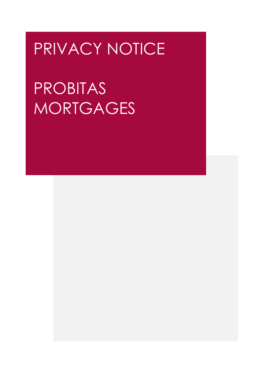# PRIVACY NOTICE

PROBITAS **MORTGAGES**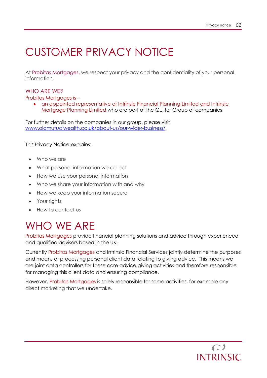# CUSTOMER PRIVACY NOTICE

At Probitas Mortgages, we respect your privacy and the confidentiality of your personal information.

#### WHO ARE WE?

Probitas Mortgages is –

• an appointed representative of Intrinsic Financial Planning Limited and Intrinsic Mortgage Planning Limited who are part of the Quilter Group of companies.

For further details on the companies in our group, please visit [www.oldmutualwealth.co.uk/about-us/our-wider-business/](https://www.oldmutualwealth.co.uk/about-us/our-wider-business/)

This Privacy Notice explains:

- Who we are
- What personal information we collect
- How we use your personal information
- Who we share your information with and why
- How we keep your information secure
- Your rights
- How to contact us

#### WHO WE ARE

Probitas Mortgages provide financial planning solutions and advice through experienced and qualified advisers based in the UK.

Currently Probitas Mortgages and Intrinsic Financial Services jointly determine the purposes and means of processing personal client data relating to giving advice. This means we are joint data controllers for these core advice giving activities and therefore responsible for managing this client data and ensuring compliance.

However, Probitas Mortgages is solely responsible for some activities, for example any direct marketing that we undertake.

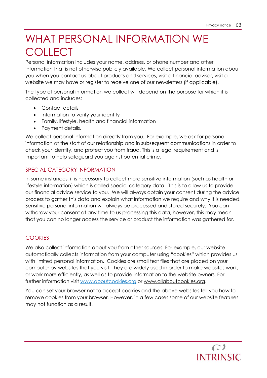### WHAT PERSONAL INFORMATION WE **COLLECT**

Personal information includes your name, address, or phone number and other information that is not otherwise publicly available. We collect personal information about you when you contact us about products and services, visit a financial advisor, visit a website we may have or register to receive one of our newsletters (if applicable).

The type of personal information we collect will depend on the purpose for which it is collected and includes:

- Contact details
- Information to verify your identity
- Family, lifestyle, health and financial information
- Payment details.

We collect personal information directly from you. For example, we ask for personal information at the start of our relationship and in subsequent communications in order to check your identity, and protect you from fraud. This is a legal requirement and is important to help safeguard you against potential crime.

#### SPECIAL CATEGORY INFORMATION

In some instances, it is necessary to collect more sensitive information (such as health or lifestyle information) which is called special category data. This is to allow us to provide our financial advice service to you. We will always obtain your consent during the advice process to gather this data and explain what information we require and why it is needed. Sensitive personal information will always be processed and stored securely. You can withdraw your consent at any time to us processing this data, however, this may mean that you can no longer access the service or product the information was gathered for.

#### **COOKIES**

We also collect information about you from other sources. For example, our website automatically collects information from your computer using "cookies" which provides us with limited personal information. Cookies are small text files that are placed on your computer by websites that you visit. They are widely used in order to make websites work, or work more efficiently, as well as to provide information to the website owners. For further information visit [www.aboutcookies.org](http://www.aboutcookies.org/) or [www.allaboutcookies.org.](http://www.allaboutcookies.org/)

You can set your browser not to accept cookies and the above websites tell you how to remove cookies from your browser. However, in a few cases some of our website features may not function as a result.

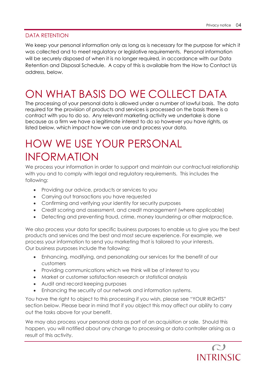#### DATA RETENTION

We keep your personal information only as long as is necessary for the purpose for which it was collected and to meet regulatory or legislative requirements. Personal information will be securely disposed of when it is no longer required, in accordance with our Data Retention and Disposal Schedule. A copy of this is available from the How to Contact Us address, below.

## ON WHAT BASIS DO WE COLLECT DATA

The processing of your personal data is allowed under a number of lawful basis. The data required for the provision of products and services is processed on the basis there is a contract with you to do so. Any relevant marketing activity we undertake is done because as a firm we have a legitimate interest to do so however you have rights, as listed below, which impact how we can use and process your data.

### HOW WE USE YOUR PERSONAL INFORMATION

We process your information in order to support and maintain our contractual relationship with you and to comply with legal and regulatory requirements. This includes the following:

- Providing our advice, products or services to you
- Carrying out transactions you have requested
- Confirming and verifying your identity for security purposes
- Credit scoring and assessment, and credit management (where applicable)
- Detecting and preventing fraud, crime, money laundering or other malpractice.

We also process your data for specific business purposes to enable us to give you the best products and services and the best and most secure experience. For example, we process your information to send you marketing that is tailored to your interests. Our business purposes include the following:

- Enhancing, modifying, and personalizing our services for the benefit of our customers
- Providing communications which we think will be of interest to you
- Market or customer satisfaction research or statistical analysis
- Audit and record keeping purposes
- Enhancing the security of our network and information systems.

You have the right to object to this processing if you wish, please see "YOUR RIGHTS" section below. Please bear in mind that if you object this may affect our ability to carry out the tasks above for your benefit.

We may also process your personal data as part of an acquisition or sale. Should this happen, you will notified about any change to processing or data controller arising as a result of this activity.

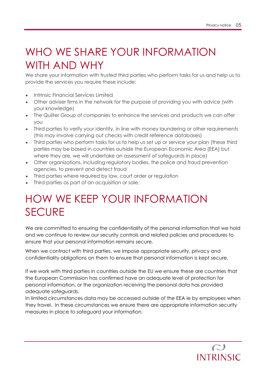### WHO WE SHARE YOUR INFORMATION WITH AND WHY

We share your information with trusted third parties who perform tasks for us and help us to provide the services you require these include:

- Intrinsic Financial Services Limited
- Other adviser firms in the network for the purpose of providing you with advice (with your knowledge)
- The Quilter Group of companies to enhance the services and products we can offer you
- Third parties to verify your identity, in line with money laundering or other requirements (this may involve carrying out checks with credit reference databases)
- Third parties who perform tasks for us to help us set up or service your plan (these third parties may be based in countries outside the European Economic Area (EEA) but where they are, we will undertake an assessment of safeguards in place)
- Other organizations, including regulatory bodies, the police and fraud prevention agencies, to prevent and detect fraud
- Third parties where required by law, court order or regulation
- Third parties as part of an acquisition or sale.

# HOW WE KEEP YOUR INFORMATION **SECURE**

We are committed to ensuring the confidentiality of the personal information that we hold and we continue to review our security controls and related policies and procedures to ensure that your personal information remains secure.

When we contract with third parties, we impose appropriate security, privacy and confidentiality obligations on them to ensure that personal information is kept secure.

If we work with third parties in countries outside the EU we ensure these are countries that the European Commission has confirmed have an adequate level of protection for personal information, or the organization receiving the personal data has provided adequate safeguards.

In limited circumstances data may be accessed outside of the EEA ie by employees when they travel. In these circumstances we ensure there are appropriate information security measures in place to safeguard your information.

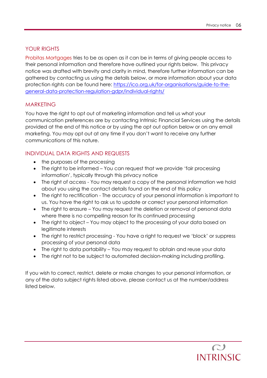#### YOUR RIGHTS

Probitas Mortgages tries to be as open as it can be in terms of giving people access to their personal information and therefore have outlined your rights below. This privacy notice was drafted with brevity and clarity in mind, therefore further information can be gathered by contacting us using the details below, or more information about your data protection rights can be found here: [https://ico.org.uk/for-organisations/guide-to-the](https://ico.org.uk/for-organisations/guide-to-the-general-data-protection-regulation-gdpr/individual-rights/)[general-data-protection-regulation-gdpr/individual-rights/](https://ico.org.uk/for-organisations/guide-to-the-general-data-protection-regulation-gdpr/individual-rights/)

#### MARKETING

You have the right to opt out of marketing information and tell us what your communication preferences are by contacting Intrinsic Financial Services using the details provided at the end of this notice or by using the opt out option below or on any email marketing. You may opt out at any time if you don't want to receive any further communications of this nature.

#### INDIVIDUAL DATA RIGHTS AND REQUESTS

- the purposes of the processing
- The right to be informed You can request that we provide 'fair processing information', typically through this privacy notice
- The right of access You may request a copy of the personal information we hold about you using the contact details found on the end of this policy
- The right to rectification The accuracy of your personal information is important to us. You have the right to ask us to update or correct your personal information
- The right to erasure You may request the deletion or removal of personal data where there is no compelling reason for its continued processing
- The right to object You may object to the processing of your data based on legitimate interests
- The right to restrict processing You have a right to request we 'block' or suppress processing of your personal data
- The right to data portability You may request to obtain and reuse your data
- The right not to be subject to automated decision-making including profiling.

If you wish to correct, restrict, delete or make changes to your personal information, or any of the data subject rights listed above, please contact us at the number/address listed below.

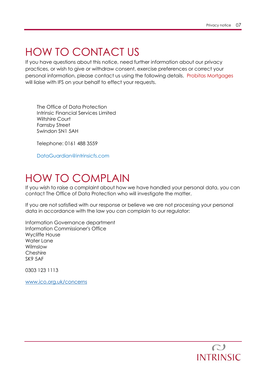### HOW TO CONTACT US

If you have questions about this notice, need further information about our privacy practices, or wish to give or withdraw consent, exercise preferences or correct your personal information, please contact us using the following details. Probitas Mortgages will liaise with IFS on your behalf to effect your requests.

The Office of Data Protection Intrinsic Financial Services Limited Wiltshire Court Farnsby Street Swindon SN1 5AH

Telephone: 0161 488 3559

[DataGuardian@intrinsicfs.com](mailto:DataGuardian@intrinsicfs.com)

#### HOW TO COMPLAIN

If you wish to raise a complaint about how we have handled your personal data, you can contact The Office of Data Protection who will investigate the matter.

If you are not satisfied with our response or believe we are not processing your personal data in accordance with the law you can complain to our regulator:

Information Governance department Information Commissioner's Office Wycliffe House Water Lane Wilmslow Cheshire SK9 5AF

0303 123 1113

[www.ico.org.uk/concerns](http://www.ico.org.uk/concerns)